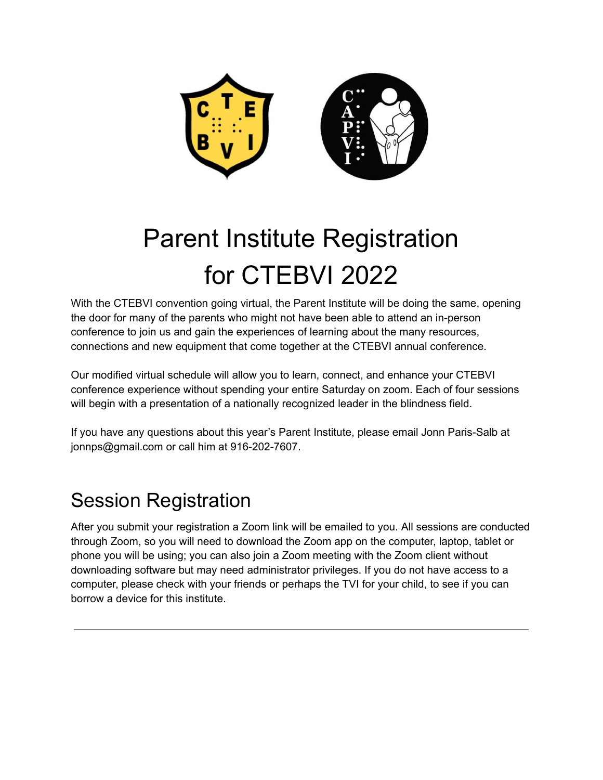

# Parent Institute Registration for CTEBVI 2022

With the CTEBVI convention going virtual, the Parent Institute will be doing the same, opening the door for many of the parents who might not have been able to attend an in-person conference to join us and gain the experiences of learning about the many resources, connections and new equipment that come together at the CTEBVI annual conference.

Our modified virtual schedule will allow you to learn, connect, and enhance your CTEBVI conference experience without spending your entire Saturday on zoom. Each of four sessions will begin with a presentation of a nationally recognized leader in the blindness field.

If you have any questions about this year's Parent Institute, please email Jonn Paris-Salb at jonnps@gmail.com or call him at 916-202-7607.

# Session Registration

After you submit your registration a Zoom link will be emailed to you. All sessions are conducted through Zoom, so you will need to download the Zoom app on the computer, laptop, tablet or phone you will be using; you can also join a Zoom meeting with the Zoom client without downloading software but may need administrator privileges. If you do not have access to a computer, please check with your friends or perhaps the TVI for your child, to see if you can borrow a device for this institute.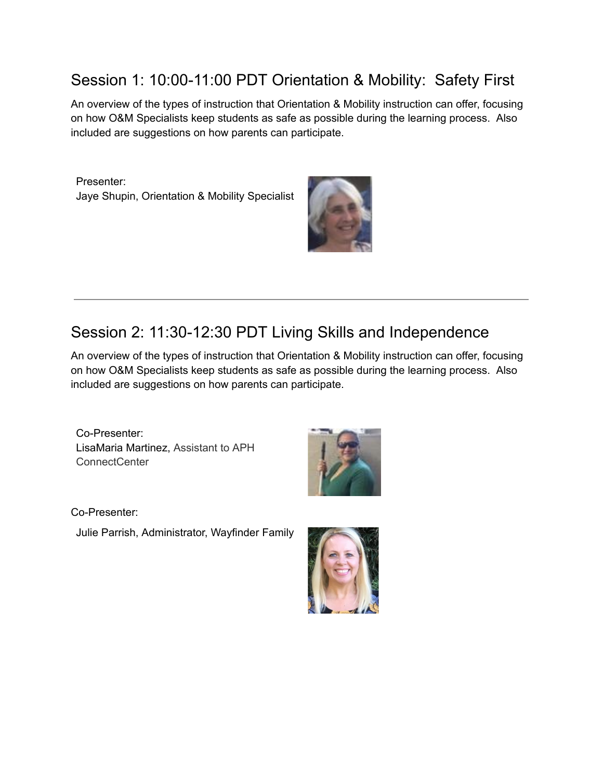### Session 1: 10:00-11:00 PDT Orientation & Mobility: Safety First

An overview of the types of instruction that Orientation & Mobility instruction can offer, focusing on how O&M Specialists keep students as safe as possible during the learning process. Also included are suggestions on how parents can participate.

Presenter: Jaye Shupin, Orientation & Mobility Specialist



# Session 2: 11:30-12:30 PDT Living Skills and Independence

An overview of the types of instruction that Orientation & Mobility instruction can offer, focusing on how O&M Specialists keep students as safe as possible during the learning process. Also included are suggestions on how parents can participate.

Co-Presenter: LisaMaria Martinez, Assistant to APH ConnectCenter



Co-Presenter:

Julie Parrish, Administrator, Wayfinder Family

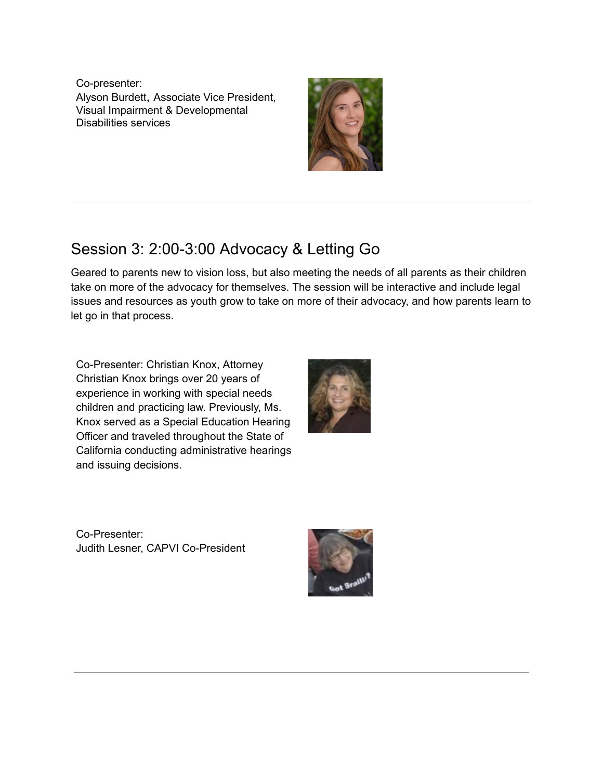Co-presenter: Alyson Burdett, Associate Vice President, Visual Impairment & Developmental Disabilities services



## Session 3: 2:00-3:00 Advocacy & Letting Go

Geared to parents new to vision loss, but also meeting the needs of all parents as their children take on more of the advocacy for themselves. The session will be interactive and include legal issues and resources as youth grow to take on more of their advocacy, and how parents learn to let go in that process.

Co-Presenter: Christian Knox, Attorney Christian Knox brings over 20 years of experience in working with special needs children and practicing law. Previously, Ms. Knox served as a Special Education Hearing Officer and traveled throughout the State of California conducting administrative hearings and issuing decisions.



Co-Presenter: Judith Lesner, CAPVI Co-President